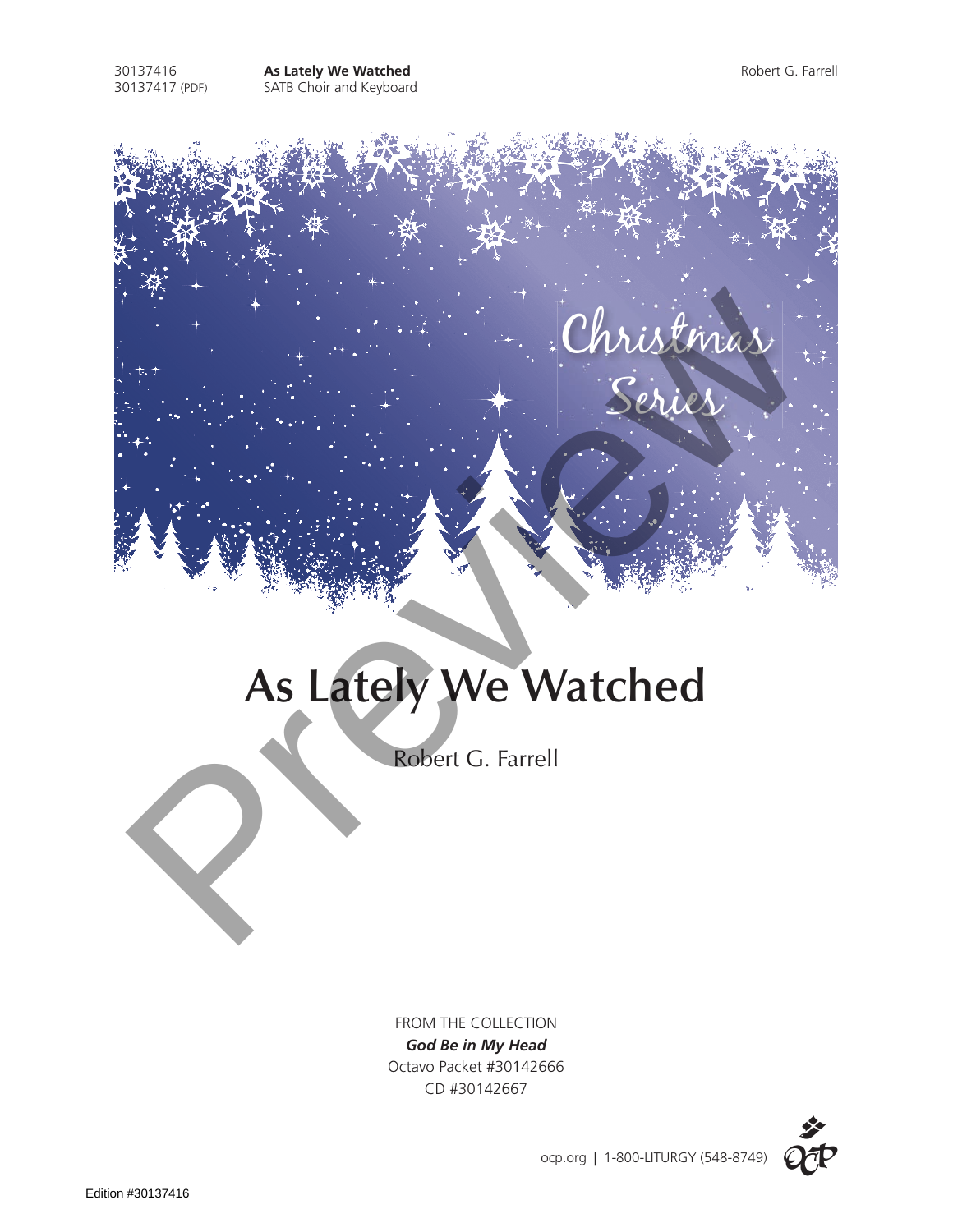

Christmas

Series

## **As Lately We Watched** Christmax<br>
Series<br>
As Lately We Watched<br>
Robert G. Farrell

Robert G. Farrell

FROM THE COLLECTION *God Be in My Head* Octavo Packet #30142666 CD #30142667

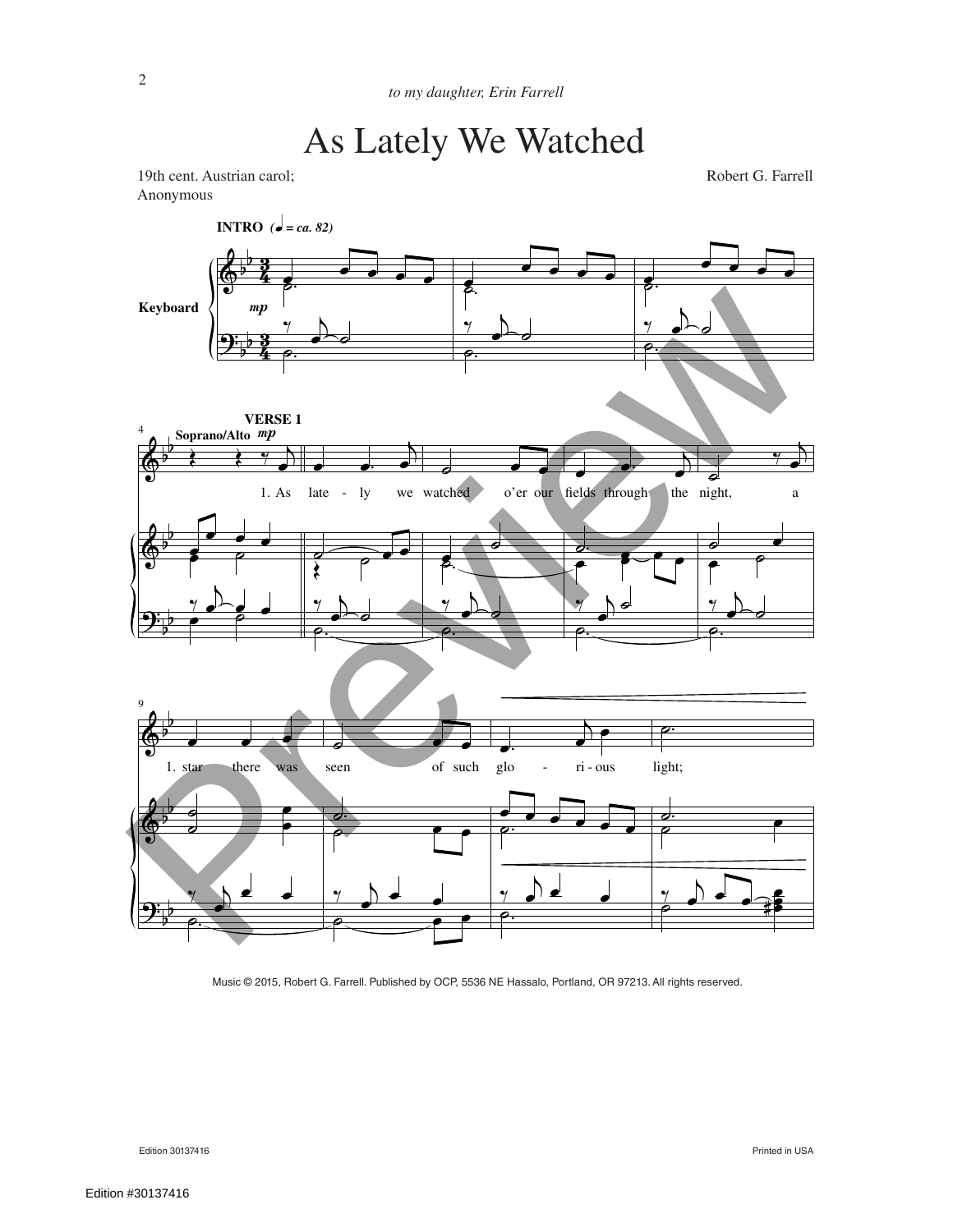19th cent. Austrian carol; Robert G. Farrell Anonymous



Music © 2015, Robert G. Farrell. Published by OCP, 5536 NE Hassalo, Portland, OR 97213. All rights reserved.

Edition 30137416 Printed in USA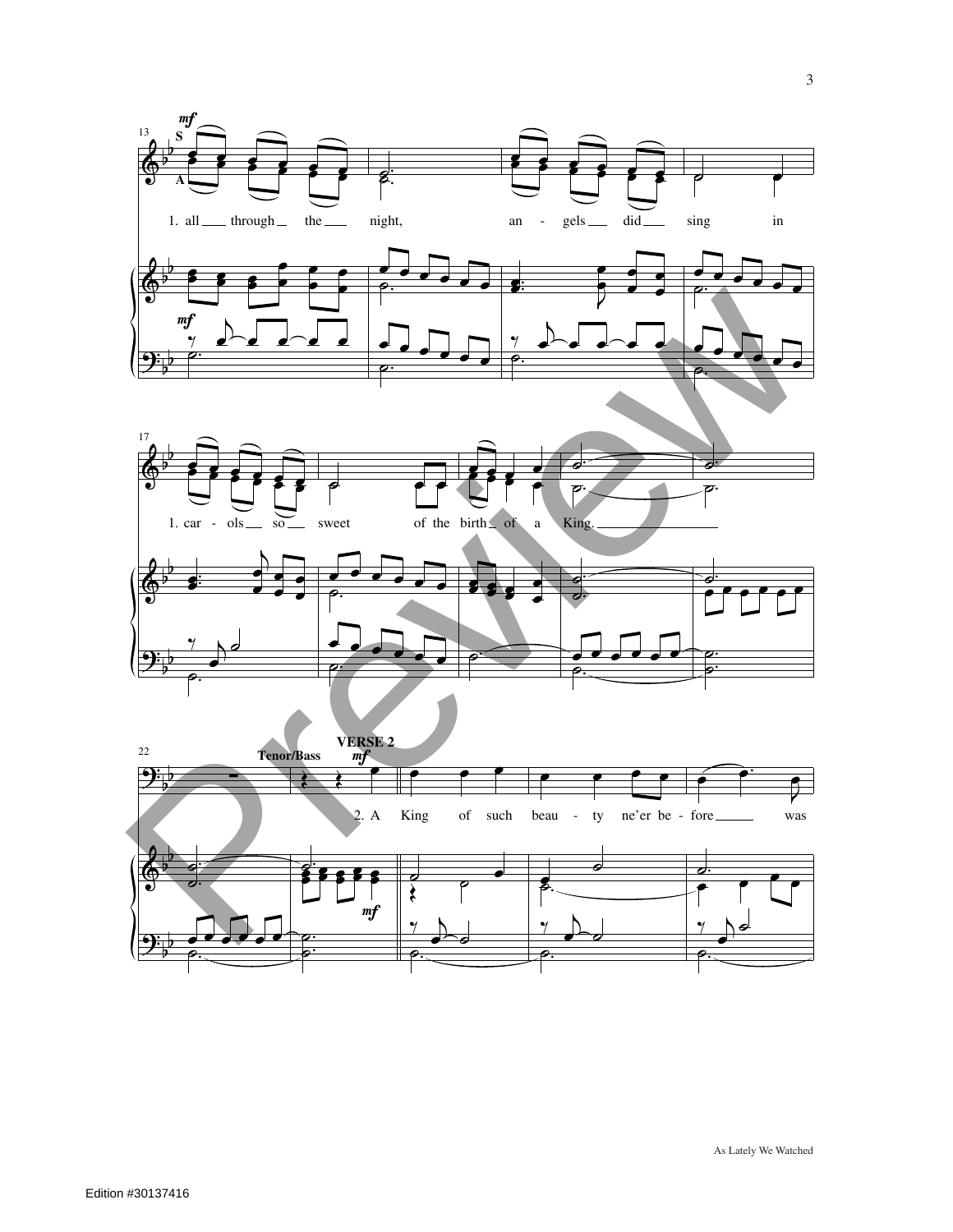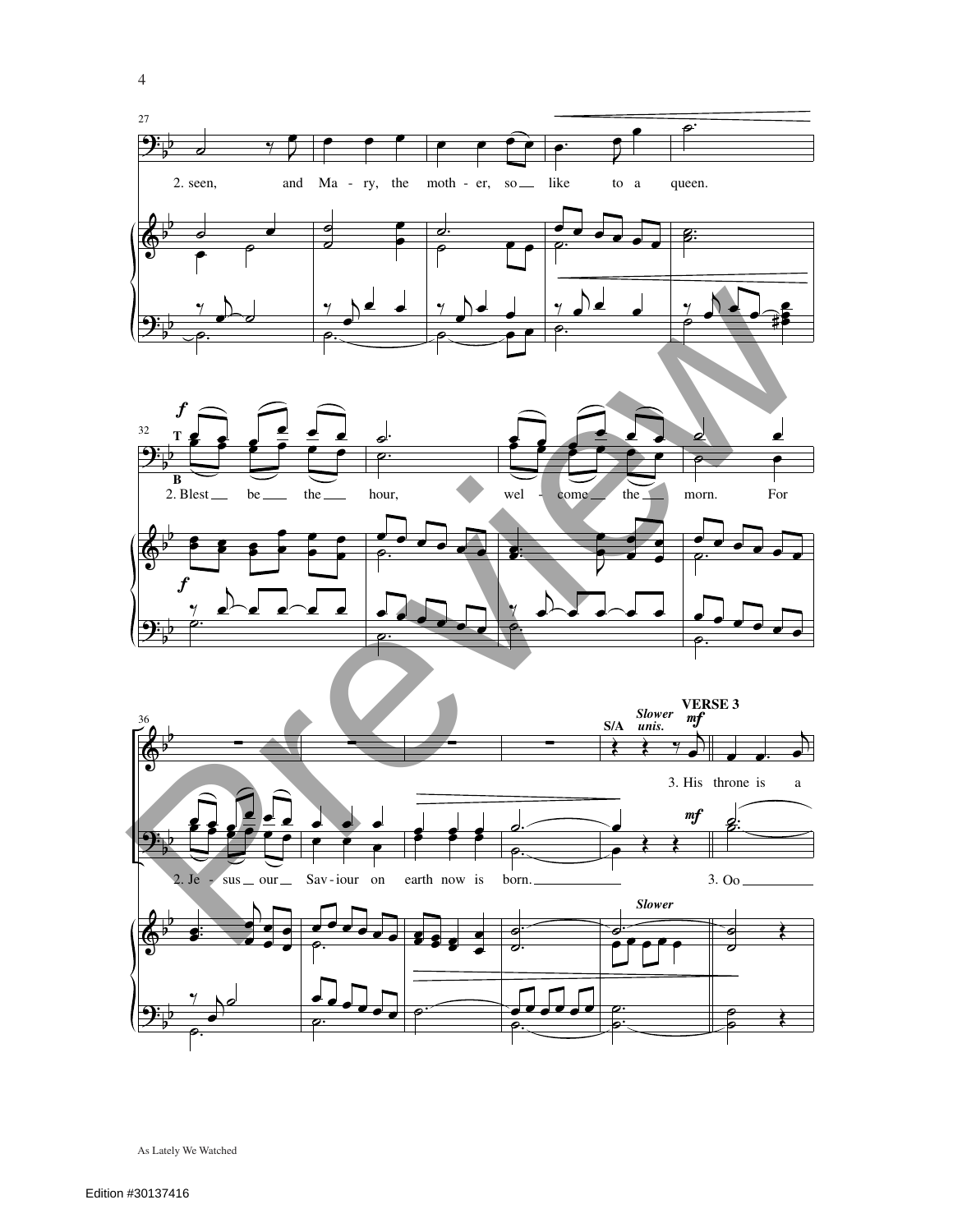



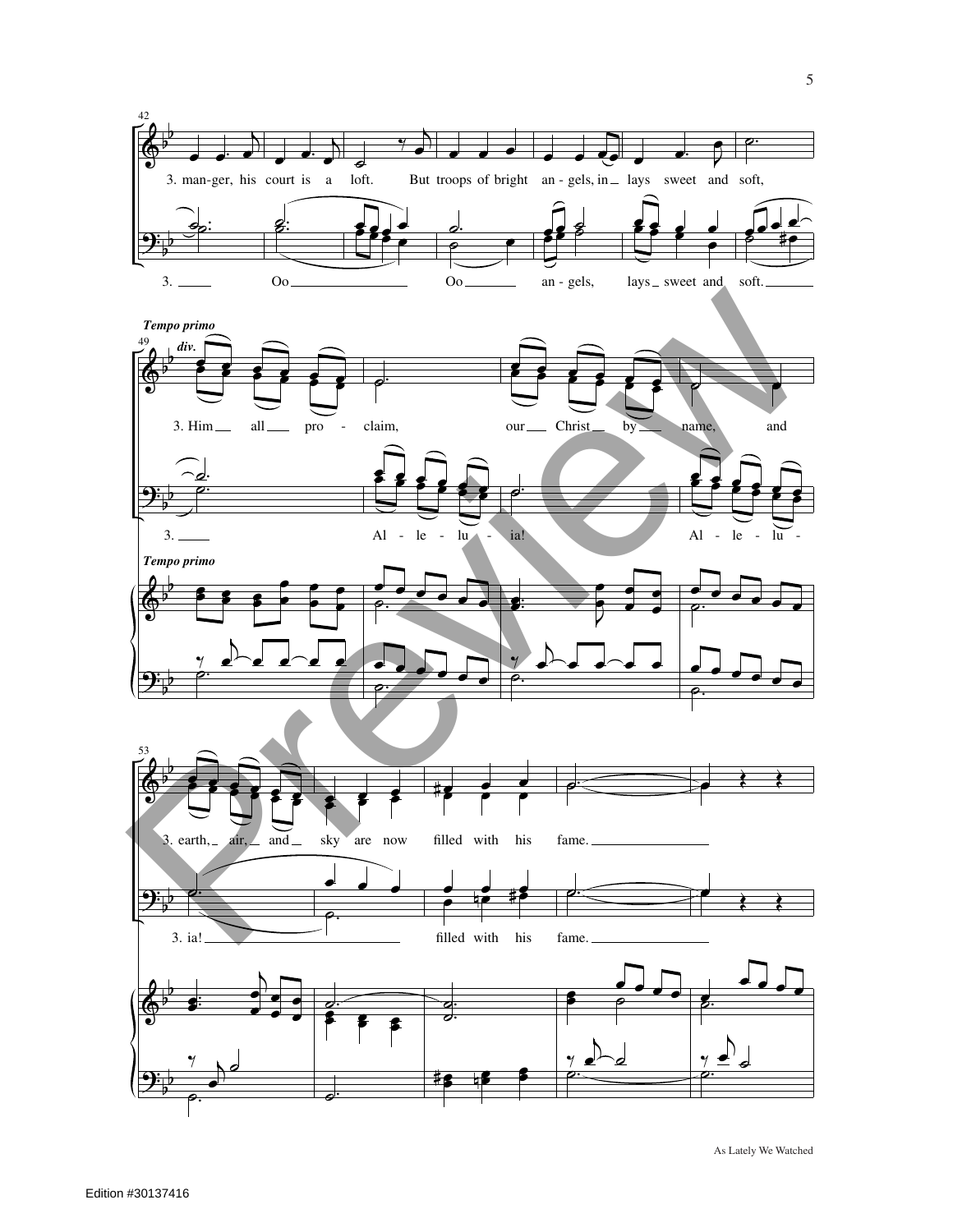



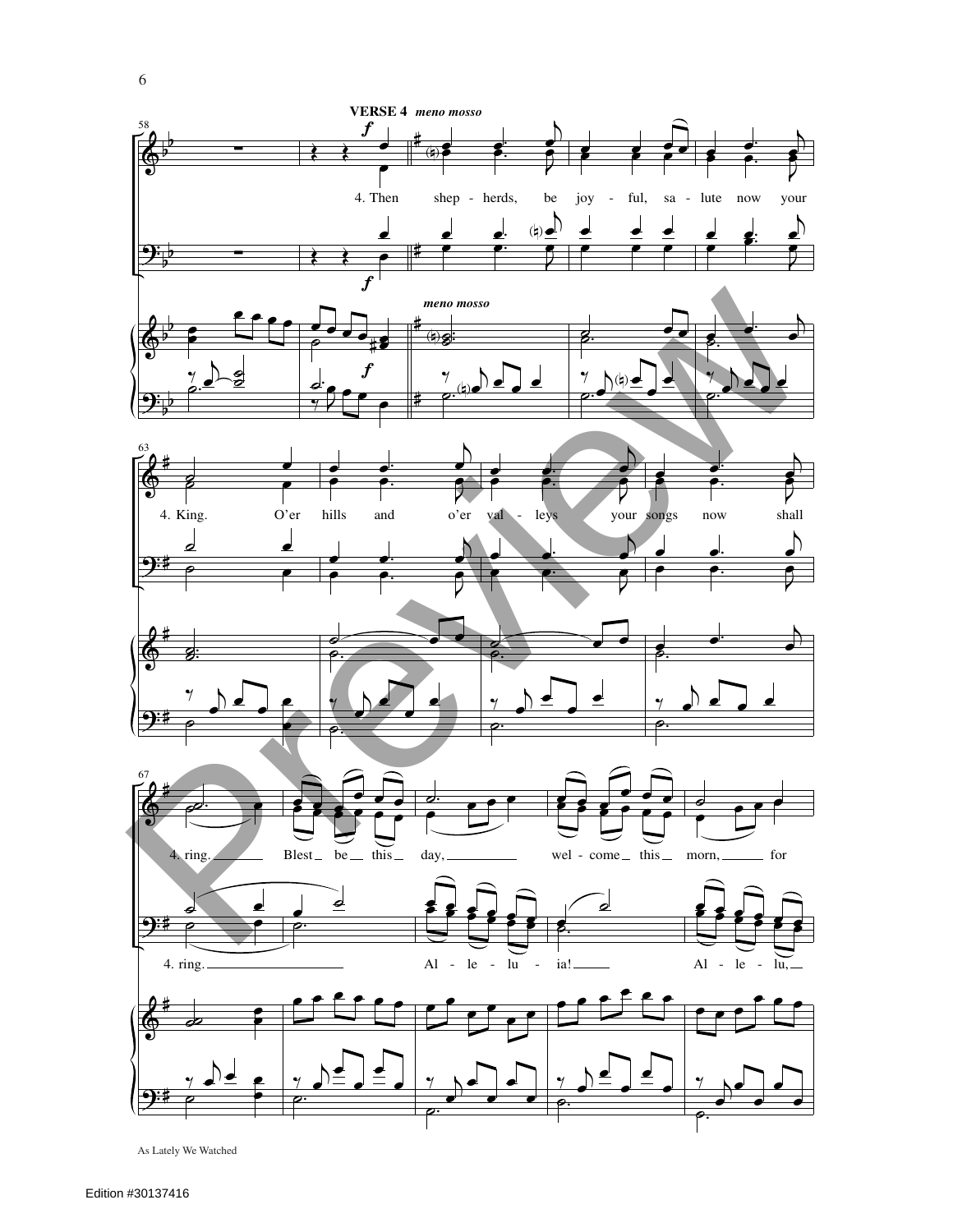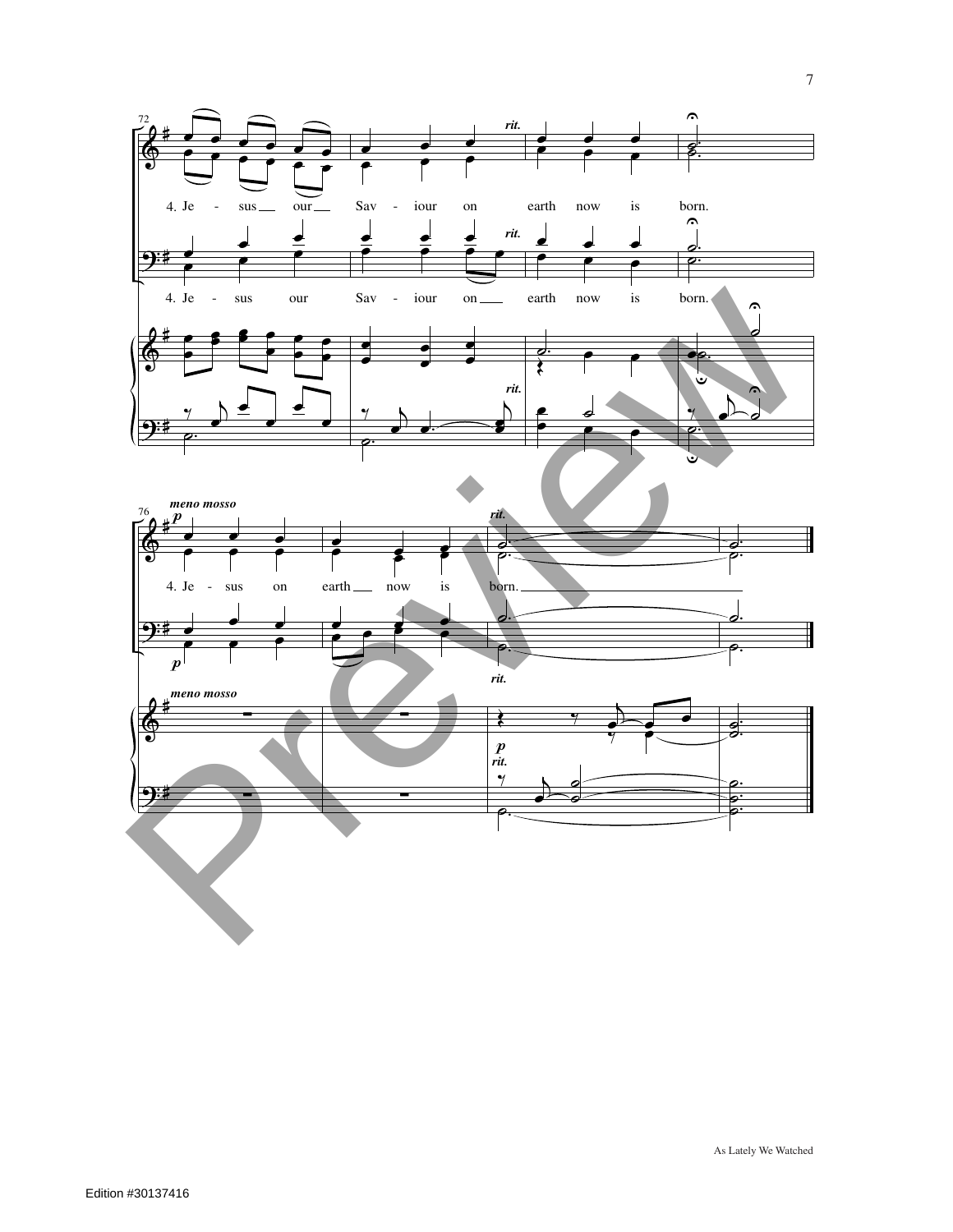